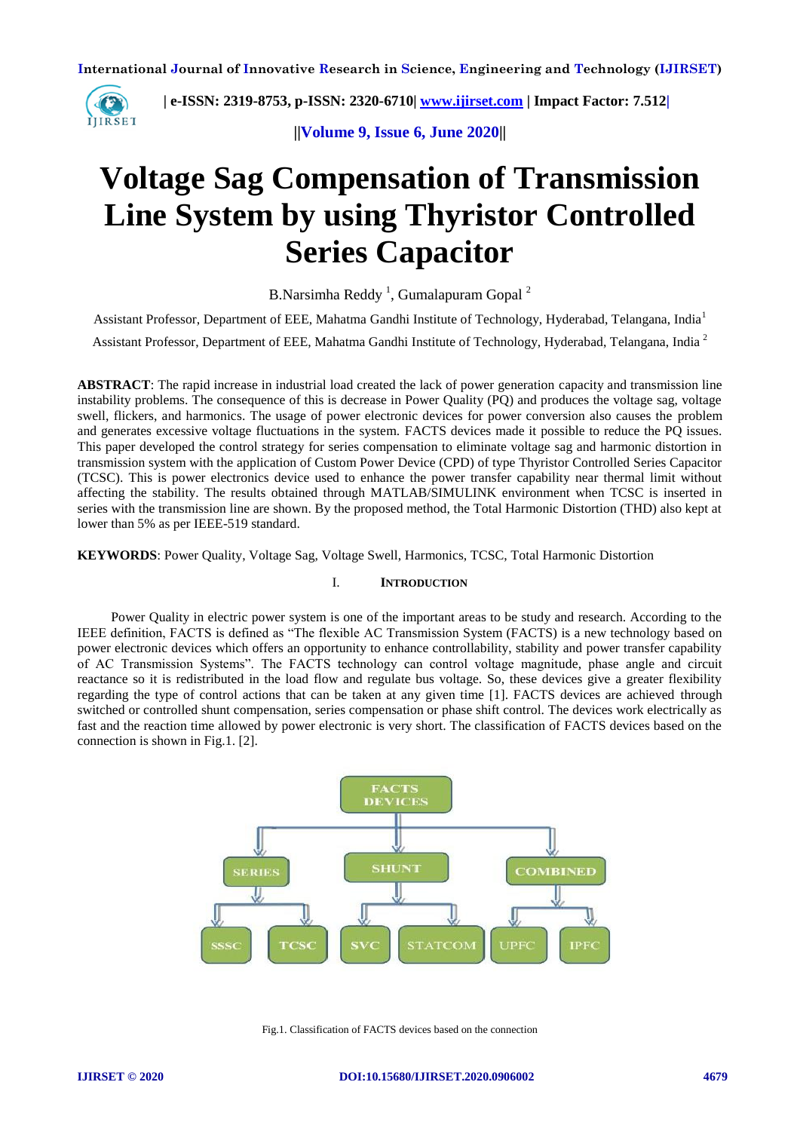

 **| e-ISSN: 2319-8753, p-ISSN: 2320-6710| [www.ijirset.com](http://www.ijirset.com/) | Impact Factor: 7.512|**

**||Volume 9, Issue 6, June 2020||** 

# **Voltage Sag Compensation of Transmission Line System by using Thyristor Controlled Series Capacitor**

B.Narsimha Reddy<sup>1</sup>, Gumalapuram Gopal<sup>2</sup>

Assistant Professor, Department of EEE, Mahatma Gandhi Institute of Technology, Hyderabad, Telangana, India<sup>1</sup>

Assistant Professor, Department of EEE, Mahatma Gandhi Institute of Technology, Hyderabad, Telangana, India <sup>2</sup>

**ABSTRACT**: The rapid increase in industrial load created the lack of power generation capacity and transmission line instability problems. The consequence of this is decrease in Power Quality (PQ) and produces the voltage sag, voltage swell, flickers, and harmonics. The usage of power electronic devices for power conversion also causes the problem and generates excessive voltage fluctuations in the system. FACTS devices made it possible to reduce the PQ issues. This paper developed the control strategy for series compensation to eliminate voltage sag and harmonic distortion in transmission system with the application of Custom Power Device (CPD) of type Thyristor Controlled Series Capacitor (TCSC). This is power electronics device used to enhance the power transfer capability near thermal limit without affecting the stability. The results obtained through MATLAB/SIMULINK environment when TCSC is inserted in series with the transmission line are shown. By the proposed method, the Total Harmonic Distortion (THD) also kept at lower than 5% as per IEEE-519 standard.

**KEYWORDS**: Power Quality, Voltage Sag, Voltage Swell, Harmonics, TCSC, Total Harmonic Distortion

## I. **INTRODUCTION**

 Power Quality in electric power system is one of the important areas to be study and research. According to the IEEE definition, FACTS is defined as "The flexible AC Transmission System (FACTS) is a new technology based on power electronic devices which offers an opportunity to enhance controllability, stability and power transfer capability of AC Transmission Systems". The FACTS technology can control voltage magnitude, phase angle and circuit reactance so it is redistributed in the load flow and regulate bus voltage. So, these devices give a greater flexibility regarding the type of control actions that can be taken at any given time [1]. FACTS devices are achieved through switched or controlled shunt compensation, series compensation or phase shift control. The devices work electrically as fast and the reaction time allowed by power electronic is very short. The classification of FACTS devices based on the connection is shown in Fig.1. [2].



Fig.1. Classification of FACTS devices based on the connection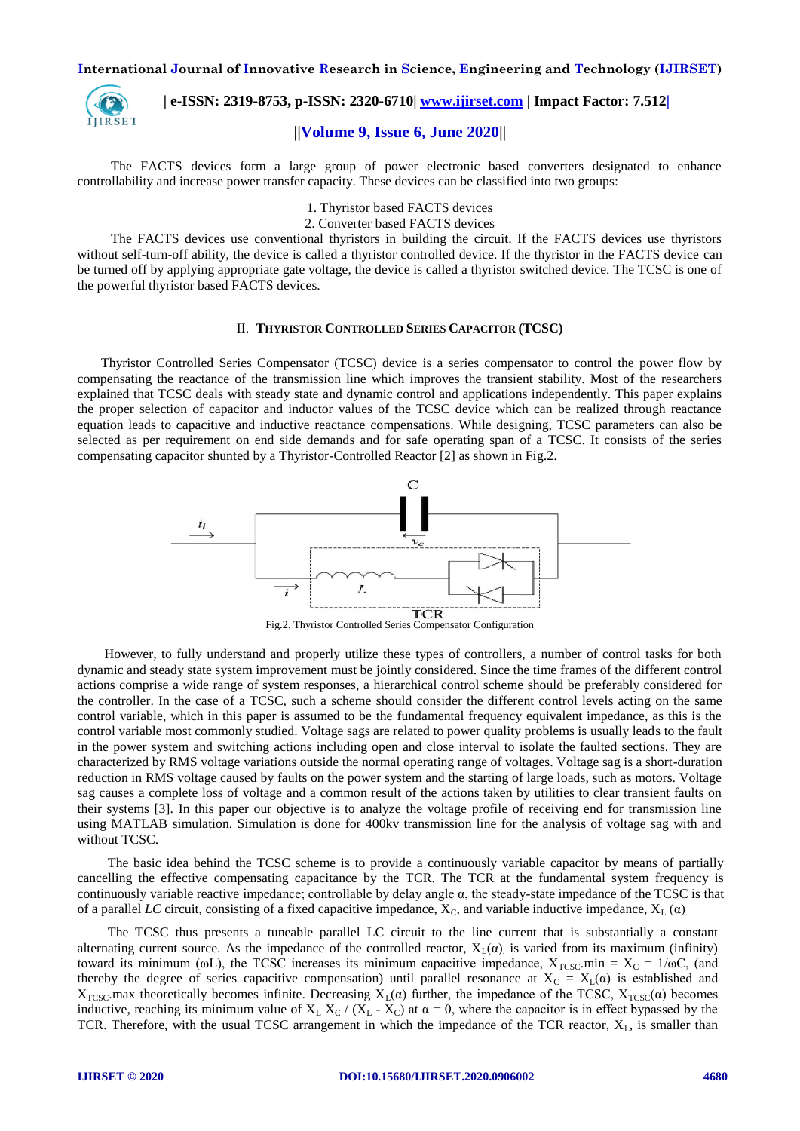

 **| e-ISSN: 2319-8753, p-ISSN: 2320-6710| [www.ijirset.com](http://www.ijirset.com/) | Impact Factor: 7.512|**

## **||Volume 9, Issue 6, June 2020||**

 The FACTS devices form a large group of power electronic based converters designated to enhance controllability and increase power transfer capacity. These devices can be classified into two groups:

- 1. Thyristor based FACTS devices
- 2. Converter based FACTS devices

 The FACTS devices use conventional thyristors in building the circuit. If the FACTS devices use thyristors without self-turn-off ability, the device is called a thyristor controlled device. If the thyristor in the FACTS device can be turned off by applying appropriate gate voltage, the device is called a thyristor switched device. The TCSC is one of the powerful thyristor based FACTS devices.

## II. **THYRISTOR CONTROLLED SERIES CAPACITOR (TCSC)**

 Thyristor Controlled Series Compensator (TCSC) device is a series compensator to control the power flow by compensating the reactance of the transmission line which improves the transient stability. Most of the researchers explained that TCSC deals with steady state and dynamic control and applications independently. This paper explains the proper selection of capacitor and inductor values of the TCSC device which can be realized through reactance equation leads to capacitive and inductive reactance compensations. While designing, TCSC parameters can also be selected as per requirement on end side demands and for safe operating span of a TCSC. It consists of the series compensating capacitor shunted by a Thyristor-Controlled Reactor [2] as shown in Fig.2.



Fig.2. Thyristor Controlled Series Compensator Configuration

 However, to fully understand and properly utilize these types of controllers, a number of control tasks for both dynamic and steady state system improvement must be jointly considered. Since the time frames of the different control actions comprise a wide range of system responses, a hierarchical control scheme should be preferably considered for the controller. In the case of a TCSC, such a scheme should consider the different control levels acting on the same control variable, which in this paper is assumed to be the fundamental frequency equivalent impedance, as this is the control variable most commonly studied. Voltage sags are related to power quality problems is usually leads to the fault in the power system and switching actions including open and close interval to isolate the faulted sections. They are characterized by RMS voltage variations outside the normal operating range of voltages. Voltage sag is a short-duration reduction in RMS voltage caused by faults on the power system and the starting of large loads, such as motors. Voltage sag causes a complete loss of voltage and a common result of the actions taken by utilities to clear transient faults on their systems [3]. In this paper our objective is to analyze the voltage profile of receiving end for transmission line using MATLAB simulation. Simulation is done for 400kv transmission line for the analysis of voltage sag with and without TCSC.

 The basic idea behind the TCSC scheme is to provide a continuously variable capacitor by means of partially cancelling the effective compensating capacitance by the TCR. The TCR at the fundamental system frequency is continuously variable reactive impedance; controllable by delay angle α, the steady-state impedance of the TCSC is that of a parallel *LC* circuit, consisting of a fixed capacitive impedance,  $X_C$ , and variable inductive impedance,  $X_L(\alpha)$ .

 The TCSC thus presents a tuneable parallel LC circuit to the line current that is substantially a constant alternating current source. As the impedance of the controlled reactor,  $X_L(\alpha)$  is varied from its maximum (infinity) toward its minimum (ωL), the TCSC increases its minimum capacitive impedance,  $X_{TCSC}$ .min =  $X_C = 1/\omega C$ , (and thereby the degree of series capacitive compensation) until parallel resonance at  $X_c = X_l(\alpha)$  is established and  $X_{TCSC}$  max theoretically becomes infinite. Decreasing  $X_L(\alpha)$  further, the impedance of the TCSC,  $X_{TCSC}(\alpha)$  becomes inductive, reaching its minimum value of  $X_L X_C / (X_L - X_C)$  at  $\alpha = 0$ , where the capacitor is in effect bypassed by the TCR. Therefore, with the usual TCSC arrangement in which the impedance of the TCR reactor,  $X_L$ , is smaller than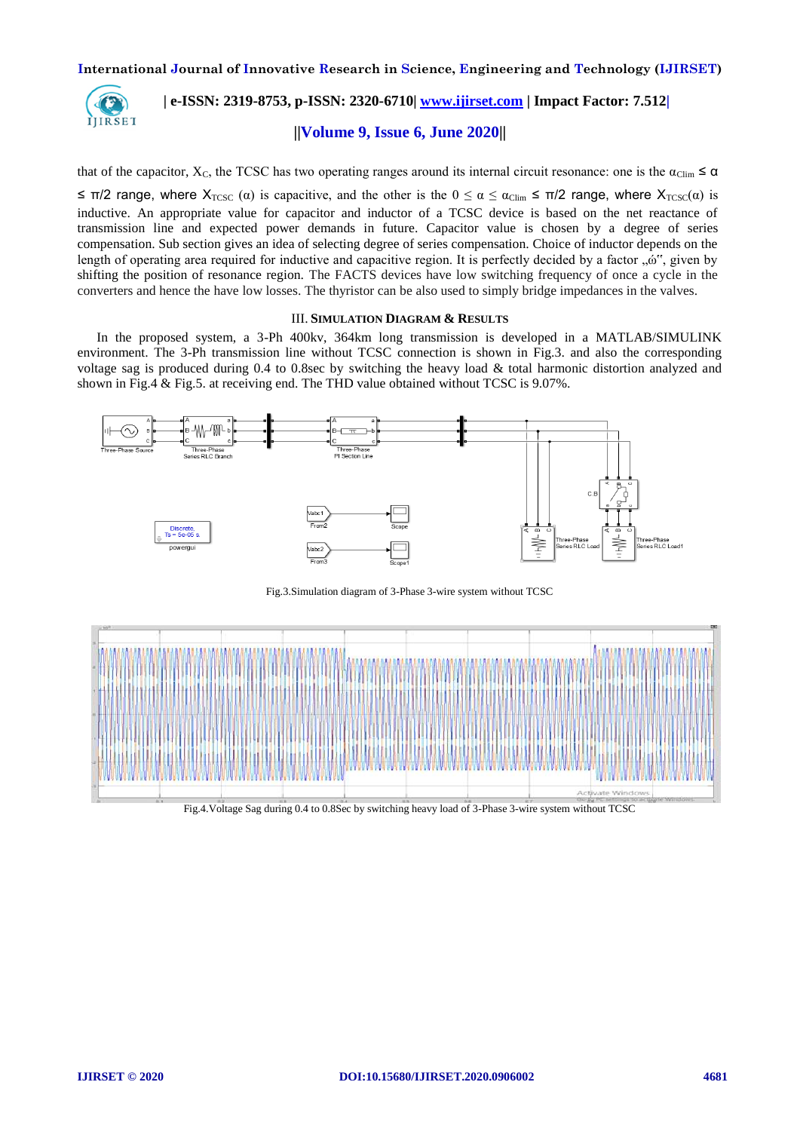

# **| e-ISSN: 2319-8753, p-ISSN: 2320-6710| [www.ijirset.com](http://www.ijirset.com/) | Impact Factor: 7.512|**

## **||Volume 9, Issue 6, June 2020||**

that of the capacitor,  $X_c$ , the TCSC has two operating ranges around its internal circuit resonance: one is the  $\alpha_{\text{Clim}} \leq \alpha$ 

 $\leq \pi/2$  range, where  $X_{TCSC}$  ( $\alpha$ ) is capacitive, and the other is the  $0 \leq \alpha \leq \alpha_{\text{Clim}} \leq \pi/2$  range, where  $X_{TCSC}(\alpha)$  is inductive. An appropriate value for capacitor and inductor of a TCSC device is based on the net reactance of transmission line and expected power demands in future. Capacitor value is chosen by a degree of series compensation. Sub section gives an idea of selecting degree of series compensation. Choice of inductor depends on the length of operating area required for inductive and capacitive region. It is perfectly decided by a factor " " shifting the position of resonance region. The FACTS devices have low switching frequency of once a cycle in the converters and hence the have low losses. The thyristor can be also used to simply bridge impedances in the valves.

## III. **SIMULATION DIAGRAM & RESULTS**

In the proposed system, a 3-Ph 400kv, 364km long transmission is developed in a MATLAB/SIMULINK environment. The 3-Ph transmission line without TCSC connection is shown in Fig.3. and also the corresponding voltage sag is produced during 0.4 to 0.8sec by switching the heavy load & total harmonic distortion analyzed and shown in Fig.4 & Fig.5. at receiving end. The THD value obtained without TCSC is 9.07%.



Fig.3.Simulation diagram of 3-Phase 3-wire system without TCSC



Fig.4.Voltage Sag during 0.4 to 0.8Sec by switching heavy load of 3-Phase 3-wire system without TCSC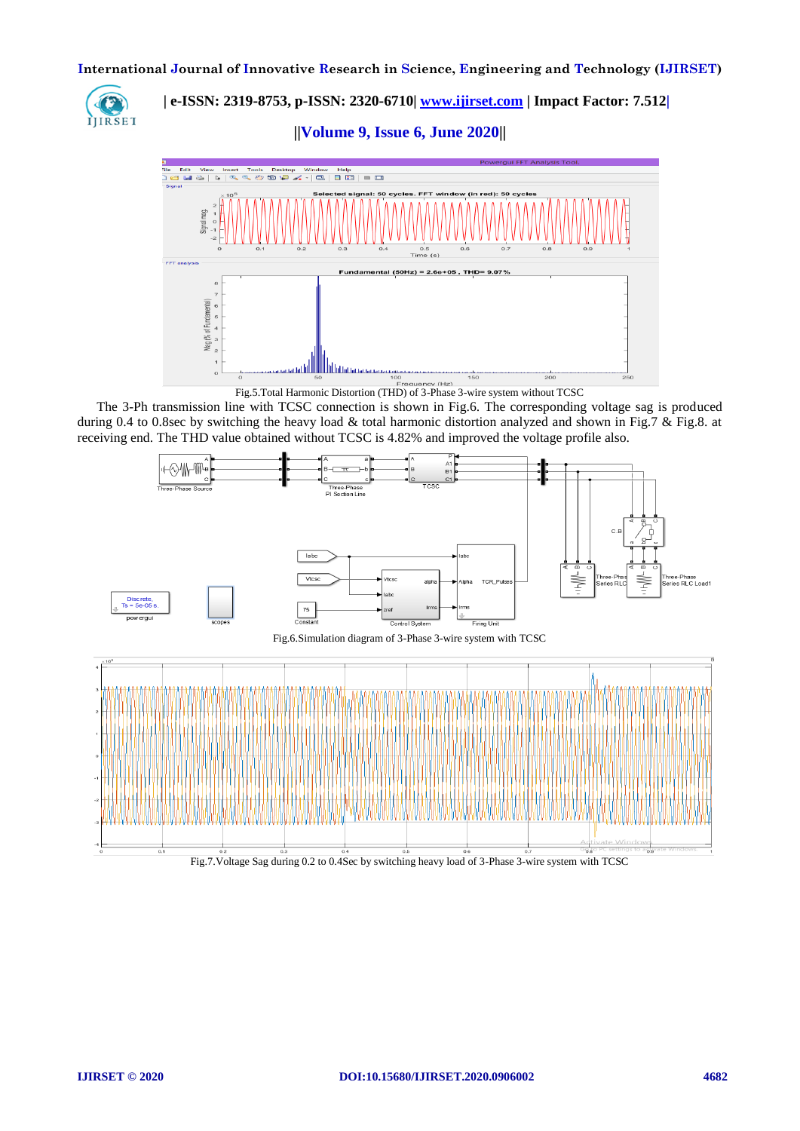

 **| e-ISSN: 2319-8753, p-ISSN: 2320-6710| [www.ijirset.com](http://www.ijirset.com/) | Impact Factor: 7.512|**

**||Volume 9, Issue 6, June 2020||** 



The 3-Ph transmission line with TCSC connection is shown in Fig.6. The corresponding voltage sag is produced during 0.4 to 0.8sec by switching the heavy load  $\&$  total harmonic distortion analyzed and shown in Fig.7  $\&$  Fig.8. at receiving end. The THD value obtained without TCSC is 4.82% and improved the voltage profile also.